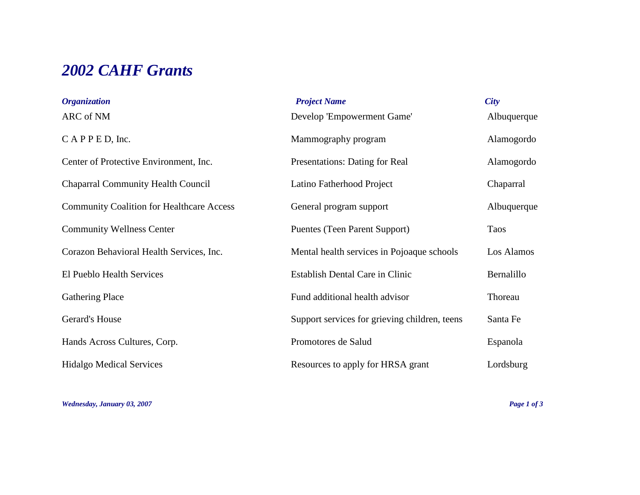## *2002 CAHF Grants*

| <b>Organization</b>                              | <b>Project Name</b>                           | <b>City</b> |
|--------------------------------------------------|-----------------------------------------------|-------------|
| ARC of NM                                        | Develop 'Empowerment Game'                    | Albuquerque |
| $C$ A P P E D, Inc.                              | Mammography program                           | Alamogordo  |
| Center of Protective Environment, Inc.           | Presentations: Dating for Real                | Alamogordo  |
| <b>Chaparral Community Health Council</b>        | Latino Fatherhood Project                     | Chaparral   |
| <b>Community Coalition for Healthcare Access</b> | General program support                       | Albuquerque |
| <b>Community Wellness Center</b>                 | Puentes (Teen Parent Support)                 | <b>Taos</b> |
| Corazon Behavioral Health Services, Inc.         | Mental health services in Pojoaque schools    | Los Alamos  |
| El Pueblo Health Services                        | Establish Dental Care in Clinic               | Bernalillo  |
| <b>Gathering Place</b>                           | Fund additional health advisor                | Thoreau     |
| Gerard's House                                   | Support services for grieving children, teens | Santa Fe    |
| Hands Across Cultures, Corp.                     | Promotores de Salud                           | Espanola    |
| <b>Hidalgo Medical Services</b>                  | Resources to apply for HRSA grant             | Lordsburg   |
|                                                  |                                               |             |

*Wednesday, January 03, 2007 Page 1 of 3*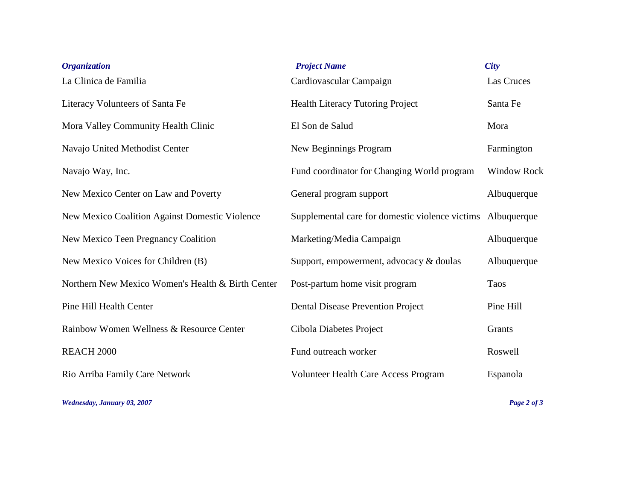| <b>Organization</b>                               | <b>Project Name</b>                                         | <b>City</b>        |
|---------------------------------------------------|-------------------------------------------------------------|--------------------|
| La Clinica de Familia                             | Cardiovascular Campaign                                     | <b>Las Cruces</b>  |
| Literacy Volunteers of Santa Fe                   | <b>Health Literacy Tutoring Project</b>                     | Santa Fe           |
| Mora Valley Community Health Clinic               | El Son de Salud                                             | Mora               |
| Navajo United Methodist Center                    | New Beginnings Program                                      | Farmington         |
| Navajo Way, Inc.                                  | Fund coordinator for Changing World program                 | <b>Window Rock</b> |
| New Mexico Center on Law and Poverty              | General program support                                     | Albuquerque        |
| New Mexico Coalition Against Domestic Violence    | Supplemental care for domestic violence victims Albuquerque |                    |
| New Mexico Teen Pregnancy Coalition               | Marketing/Media Campaign                                    | Albuquerque        |
| New Mexico Voices for Children (B)                | Support, empowerment, advocacy & doulas                     | Albuquerque        |
| Northern New Mexico Women's Health & Birth Center | Post-partum home visit program                              | Taos               |
| Pine Hill Health Center                           | <b>Dental Disease Prevention Project</b>                    | Pine Hill          |
| Rainbow Women Wellness & Resource Center          | Cibola Diabetes Project                                     | Grants             |
| REACH 2000                                        | Fund outreach worker                                        | Roswell            |
| Rio Arriba Family Care Network                    | <b>Volunteer Health Care Access Program</b>                 | Espanola           |
|                                                   |                                                             |                    |

*Wednesday, January 03, 2007 Page 2 of 3*